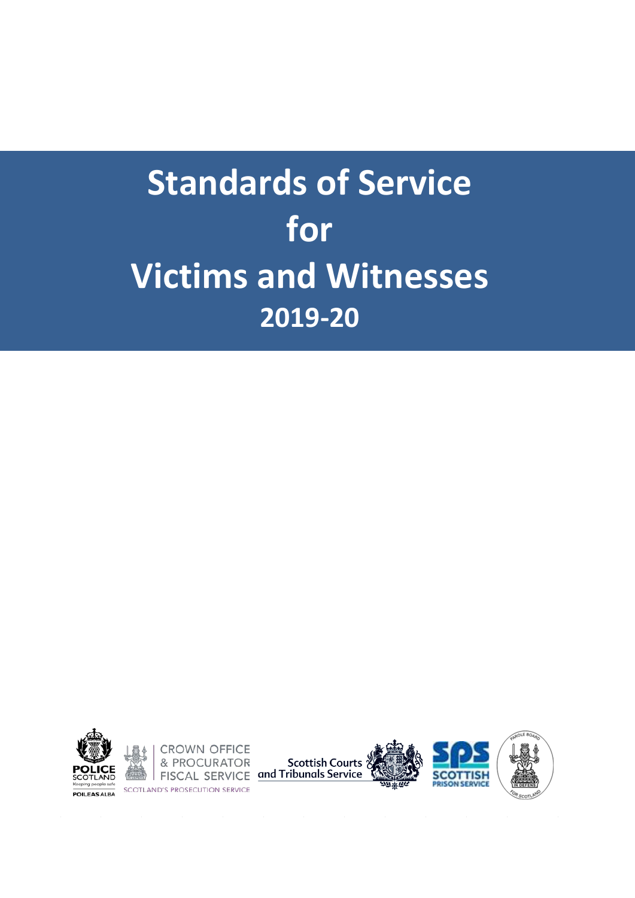

**CROWN OFFICE SCOTLAND'S PROSECUTION SERVICE** 





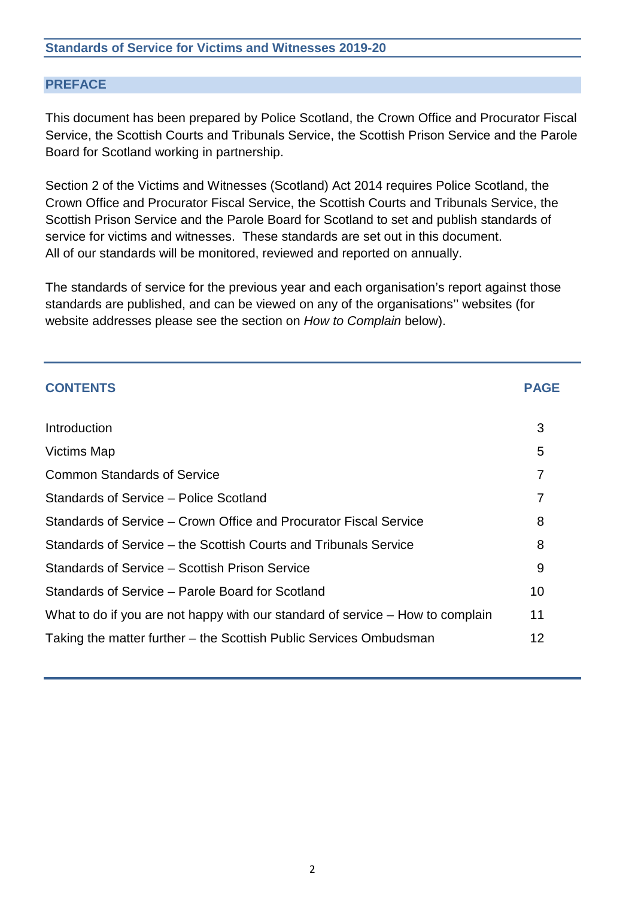#### **PREFACE**

This document has been prepared by Police Scotland, the Crown Office and Procurator Fiscal Service, the Scottish Courts and Tribunals Service, the Scottish Prison Service and the Parole Board for Scotland working in partnership.

Section 2 of the Victims and Witnesses (Scotland) Act 2014 requires Police Scotland, the Crown Office and Procurator Fiscal Service, the Scottish Courts and Tribunals Service, the Scottish Prison Service and the Parole Board for Scotland to set and publish standards of service for victims and witnesses. These standards are set out in this document. All of our standards will be monitored, reviewed and reported on annually.

The standards of service for the previous year and each organisation's report against those standards are published, and can be viewed on any of the organisations'' websites (for website addresses please see the section on *How to Complain* below).

| <b>CONTENTS</b>                                                                | <b>PAGE</b> |
|--------------------------------------------------------------------------------|-------------|
| Introduction                                                                   | 3           |
| <b>Victims Map</b>                                                             | 5           |
| <b>Common Standards of Service</b>                                             | 7           |
| Standards of Service – Police Scotland                                         | 7           |
| Standards of Service – Crown Office and Procurator Fiscal Service              | 8           |
| Standards of Service – the Scottish Courts and Tribunals Service               | 8           |
| Standards of Service – Scottish Prison Service                                 | 9           |
| Standards of Service – Parole Board for Scotland                               | 10          |
| What to do if you are not happy with our standard of service – How to complain | 11          |
| Taking the matter further – the Scottish Public Services Ombudsman             | 12          |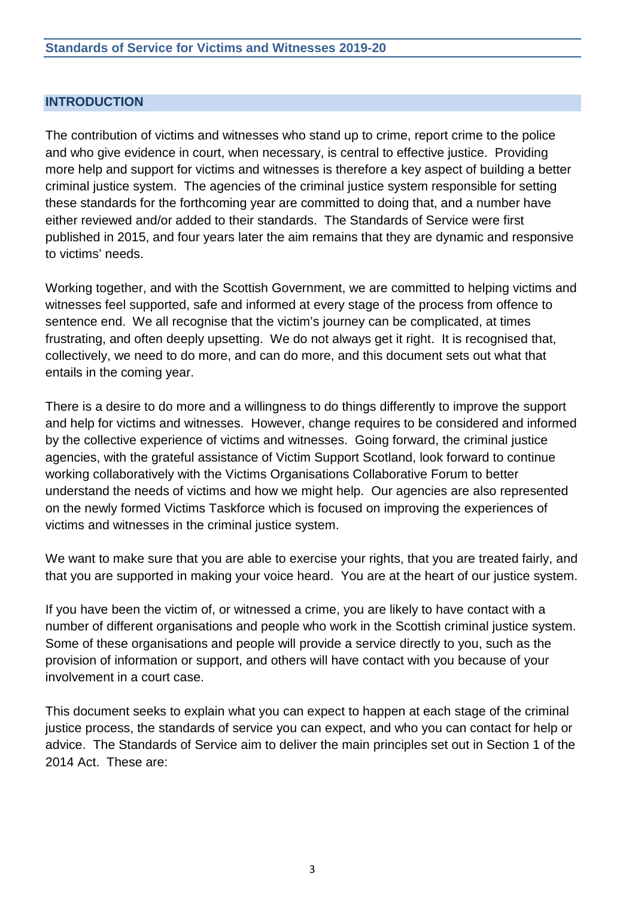#### **INTRODUCTION**

The contribution of victims and witnesses who stand up to crime, report crime to the police and who give evidence in court, when necessary, is central to effective justice. Providing more help and support for victims and witnesses is therefore a key aspect of building a better criminal justice system. The agencies of the criminal justice system responsible for setting these standards for the forthcoming year are committed to doing that, and a number have either reviewed and/or added to their standards. The Standards of Service were first published in 2015, and four years later the aim remains that they are dynamic and responsive to victims' needs.

Working together, and with the Scottish Government, we are committed to helping victims and witnesses feel supported, safe and informed at every stage of the process from offence to sentence end. We all recognise that the victim's journey can be complicated, at times frustrating, and often deeply upsetting. We do not always get it right. It is recognised that, collectively, we need to do more, and can do more, and this document sets out what that entails in the coming year.

There is a desire to do more and a willingness to do things differently to improve the support and help for victims and witnesses. However, change requires to be considered and informed by the collective experience of victims and witnesses. Going forward, the criminal justice agencies, with the grateful assistance of Victim Support Scotland, look forward to continue working collaboratively with the Victims Organisations Collaborative Forum to better understand the needs of victims and how we might help. Our agencies are also represented on the newly formed Victims Taskforce which is focused on improving the experiences of victims and witnesses in the criminal justice system.

We want to make sure that you are able to exercise your rights, that you are treated fairly, and that you are supported in making your voice heard. You are at the heart of our justice system.

If you have been the victim of, or witnessed a crime, you are likely to have contact with a number of different organisations and people who work in the Scottish criminal justice system. Some of these organisations and people will provide a service directly to you, such as the provision of information or support, and others will have contact with you because of your involvement in a court case.

This document seeks to explain what you can expect to happen at each stage of the criminal justice process, the standards of service you can expect, and who you can contact for help or advice. The Standards of Service aim to deliver the main principles set out in Section 1 of the 2014 Act. These are: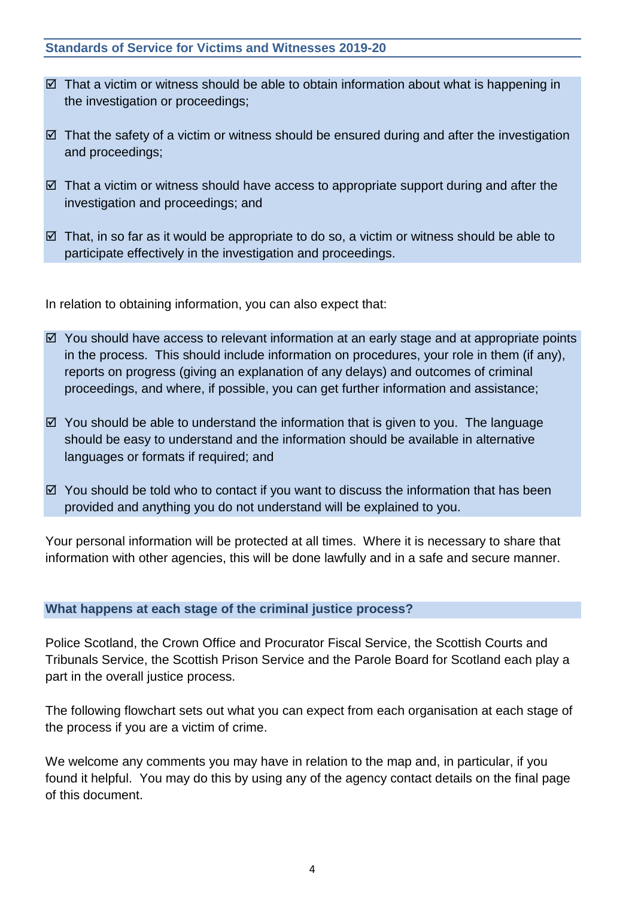- $\boxtimes$  That a victim or witness should be able to obtain information about what is happening in the investigation or proceedings;
- $\boxtimes$  That the safety of a victim or witness should be ensured during and after the investigation and proceedings;
- $\boxtimes$  That a victim or witness should have access to appropriate support during and after the investigation and proceedings; and
- $\boxtimes$  That, in so far as it would be appropriate to do so, a victim or witness should be able to participate effectively in the investigation and proceedings.

In relation to obtaining information, you can also expect that:

- $\boxtimes$  You should have access to relevant information at an early stage and at appropriate points in the process. This should include information on procedures, your role in them (if any), reports on progress (giving an explanation of any delays) and outcomes of criminal proceedings, and where, if possible, you can get further information and assistance;
- $\boxtimes$  You should be able to understand the information that is given to you. The language should be easy to understand and the information should be available in alternative languages or formats if required; and
- $\boxtimes$  You should be told who to contact if you want to discuss the information that has been provided and anything you do not understand will be explained to you.

Your personal information will be protected at all times. Where it is necessary to share that information with other agencies, this will be done lawfully and in a safe and secure manner.

# **What happens at each stage of the criminal justice process?**

Police Scotland, the Crown Office and Procurator Fiscal Service, the Scottish Courts and Tribunals Service, the Scottish Prison Service and the Parole Board for Scotland each play a part in the overall justice process.

The following flowchart sets out what you can expect from each organisation at each stage of the process if you are a victim of crime.

We welcome any comments you may have in relation to the map and, in particular, if you found it helpful. You may do this by using any of the agency contact details on the final page of this document.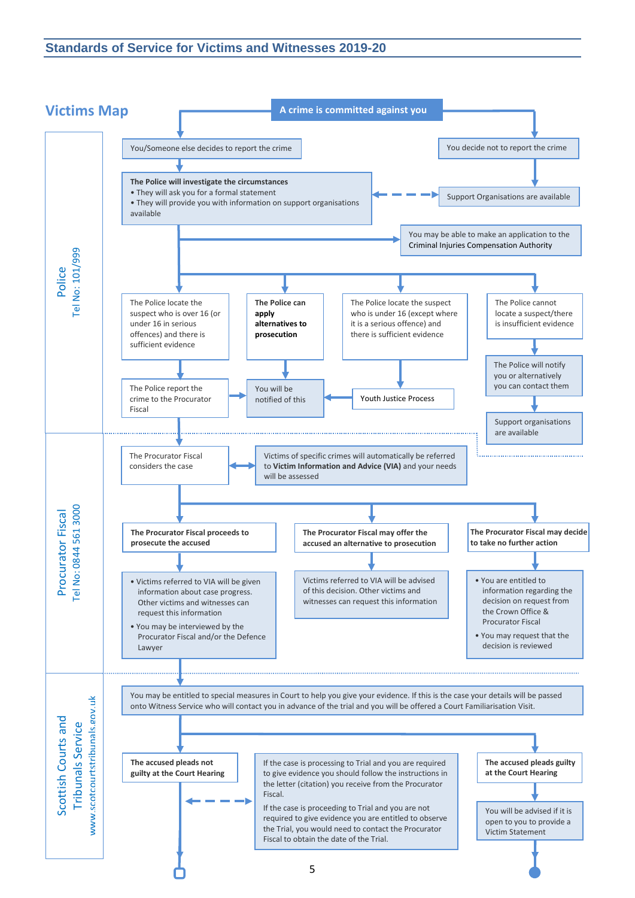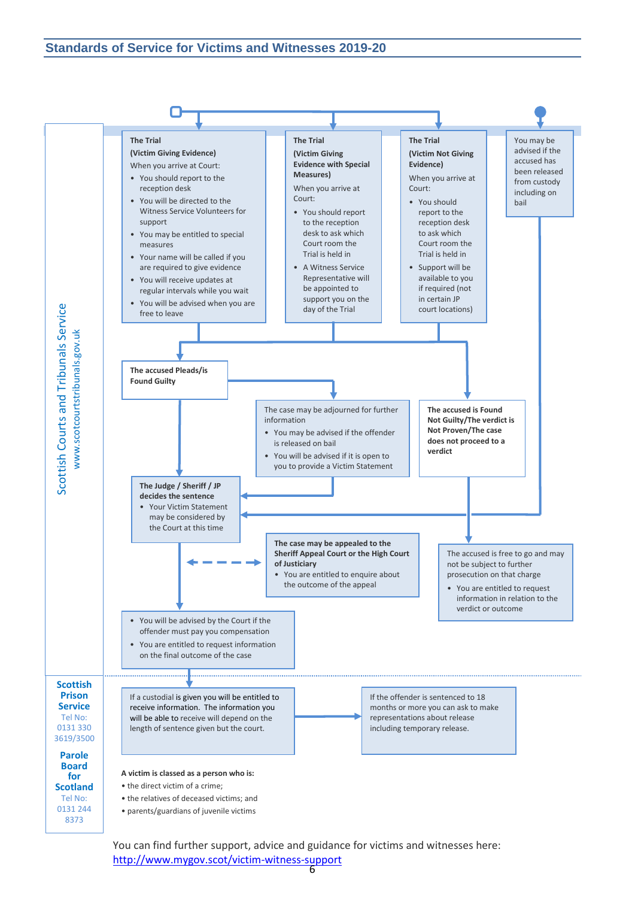

You can find further support, advice and guidance for victims and witnesses here: <http://www.mygov.scot/victim-witness-support>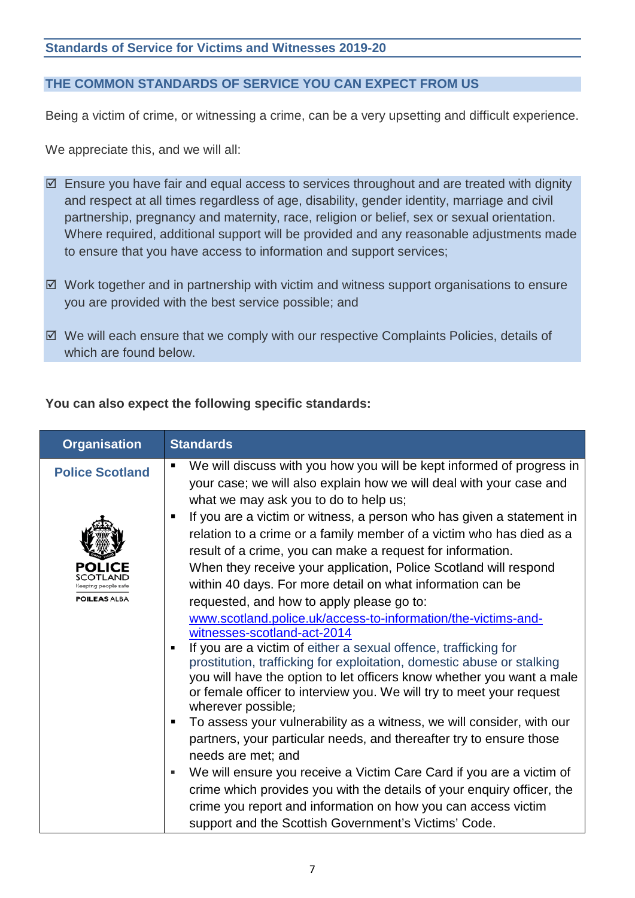# **THE COMMON STANDARDS OF SERVICE YOU CAN EXPECT FROM US**

Being a victim of crime, or witnessing a crime, can be a very upsetting and difficult experience.

We appreciate this, and we will all:

- $\boxtimes$  Ensure you have fair and equal access to services throughout and are treated with dignity and respect at all times regardless of age, disability, gender identity, marriage and civil partnership, pregnancy and maternity, race, religion or belief, sex or sexual orientation. Where required, additional support will be provided and any reasonable adjustments made to ensure that you have access to information and support services;
- $\boxtimes$  Work together and in partnership with victim and witness support organisations to ensure you are provided with the best service possible; and
- $\boxtimes$  We will each ensure that we comply with our respective Complaints Policies, details of which are found below.

#### **You can also expect the following specific standards:**

| <b>Organisation</b>                           | <b>Standards</b>                                                                                                                                                                                                                                                                                                                                                                                                                                                                                                                                                                                                                                                                                                                                                                                                                                   |
|-----------------------------------------------|----------------------------------------------------------------------------------------------------------------------------------------------------------------------------------------------------------------------------------------------------------------------------------------------------------------------------------------------------------------------------------------------------------------------------------------------------------------------------------------------------------------------------------------------------------------------------------------------------------------------------------------------------------------------------------------------------------------------------------------------------------------------------------------------------------------------------------------------------|
| <b>Police Scotland</b><br><b>POILEAS ALBA</b> | We will discuss with you how you will be kept informed of progress in<br>$\blacksquare$<br>your case; we will also explain how we will deal with your case and<br>what we may ask you to do to help us;<br>If you are a victim or witness, a person who has given a statement in<br>relation to a crime or a family member of a victim who has died as a<br>result of a crime, you can make a request for information.<br>When they receive your application, Police Scotland will respond<br>within 40 days. For more detail on what information can be<br>requested, and how to apply please go to:<br>www.scotland.police.uk/access-to-information/the-victims-and-<br>witnesses-scotland-act-2014<br>If you are a victim of either a sexual offence, trafficking for<br>prostitution, trafficking for exploitation, domestic abuse or stalking |
|                                               | you will have the option to let officers know whether you want a male<br>or female officer to interview you. We will try to meet your request<br>wherever possible;<br>To assess your vulnerability as a witness, we will consider, with our<br>п.<br>partners, your particular needs, and thereafter try to ensure those<br>needs are met; and<br>We will ensure you receive a Victim Care Card if you are a victim of<br>crime which provides you with the details of your enquiry officer, the<br>crime you report and information on how you can access victim                                                                                                                                                                                                                                                                                 |
|                                               | support and the Scottish Government's Victims' Code.                                                                                                                                                                                                                                                                                                                                                                                                                                                                                                                                                                                                                                                                                                                                                                                               |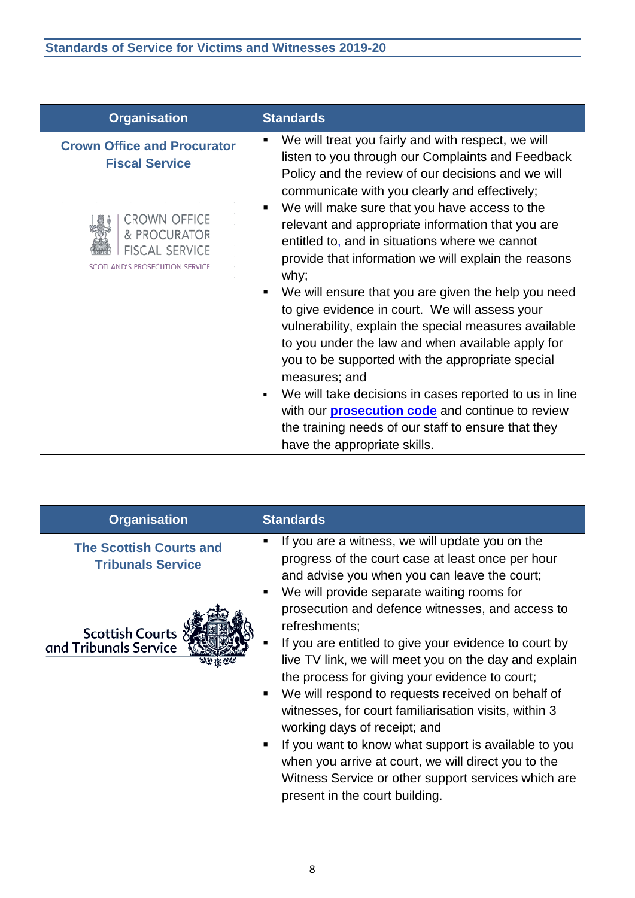| <b>Organisation</b>                                                         | <b>Standards</b>                                                                                                                                                                                                                                                                                                                                                                                                                                                                                                                                                                                                                                                                                                             |
|-----------------------------------------------------------------------------|------------------------------------------------------------------------------------------------------------------------------------------------------------------------------------------------------------------------------------------------------------------------------------------------------------------------------------------------------------------------------------------------------------------------------------------------------------------------------------------------------------------------------------------------------------------------------------------------------------------------------------------------------------------------------------------------------------------------------|
| <b>Crown Office and Procurator</b><br><b>Fiscal Service</b>                 | We will treat you fairly and with respect, we will<br>listen to you through our Complaints and Feedback<br>Policy and the review of our decisions and we will<br>communicate with you clearly and effectively;                                                                                                                                                                                                                                                                                                                                                                                                                                                                                                               |
| CROWN OFFICE<br>& PROCURATOR<br>FISCAL SERVICE<br>AND'S PROSECUTION SERVICE | We will make sure that you have access to the<br>relevant and appropriate information that you are<br>entitled to, and in situations where we cannot<br>provide that information we will explain the reasons<br>why;<br>We will ensure that you are given the help you need<br>to give evidence in court. We will assess your<br>vulnerability, explain the special measures available<br>to you under the law and when available apply for<br>you to be supported with the appropriate special<br>measures; and<br>We will take decisions in cases reported to us in line<br>with our <b>prosecution code</b> and continue to review<br>the training needs of our staff to ensure that they<br>have the appropriate skills. |

| <b>Organisation</b>                                                                                      | <b>Standards</b>                                                                                                                                                                                                                                                                                                                                                                                                                                                                                           |
|----------------------------------------------------------------------------------------------------------|------------------------------------------------------------------------------------------------------------------------------------------------------------------------------------------------------------------------------------------------------------------------------------------------------------------------------------------------------------------------------------------------------------------------------------------------------------------------------------------------------------|
| <b>The Scottish Courts and</b><br><b>Tribunals Service</b><br>Scottish Courts ?<br>and Tribunals Service | If you are a witness, we will update you on the<br>п<br>progress of the court case at least once per hour<br>and advise you when you can leave the court;<br>We will provide separate waiting rooms for<br>prosecution and defence witnesses, and access to<br>refreshments:<br>If you are entitled to give your evidence to court by<br>п<br>live TV link, we will meet you on the day and explain<br>the process for giving your evidence to court;<br>We will respond to requests received on behalf of |
|                                                                                                          | witnesses, for court familiarisation visits, within 3<br>working days of receipt; and                                                                                                                                                                                                                                                                                                                                                                                                                      |
|                                                                                                          | If you want to know what support is available to you<br>when you arrive at court, we will direct you to the<br>Witness Service or other support services which are<br>present in the court building.                                                                                                                                                                                                                                                                                                       |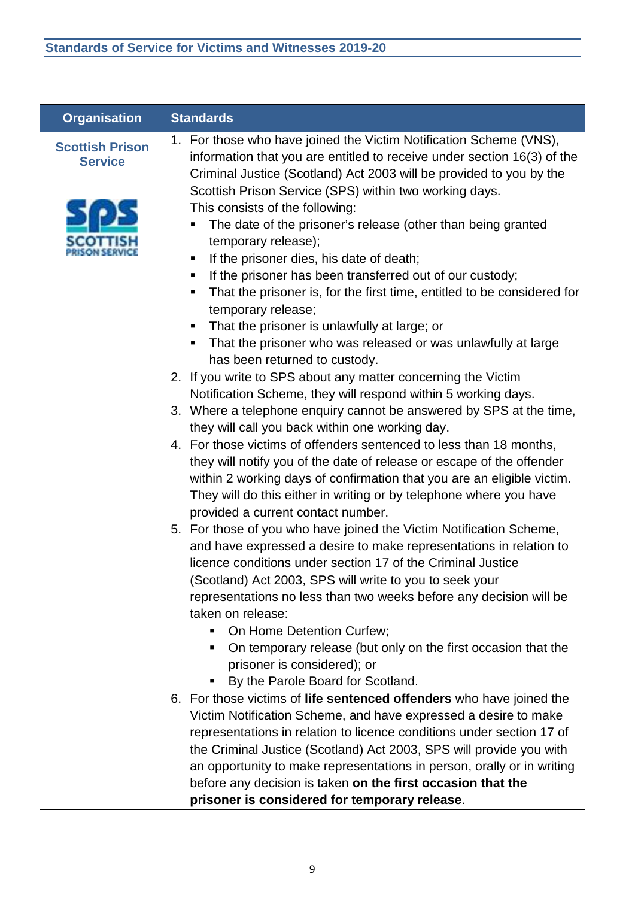| <b>Organisation</b>                      | <b>Standards</b>                                                                                                                                                                                                                                                                                                                                                                                                                                                                                                                                                                                                                                                                                                                                              |
|------------------------------------------|---------------------------------------------------------------------------------------------------------------------------------------------------------------------------------------------------------------------------------------------------------------------------------------------------------------------------------------------------------------------------------------------------------------------------------------------------------------------------------------------------------------------------------------------------------------------------------------------------------------------------------------------------------------------------------------------------------------------------------------------------------------|
| <b>Scottish Prison</b><br><b>Service</b> | 1. For those who have joined the Victim Notification Scheme (VNS),<br>information that you are entitled to receive under section 16(3) of the<br>Criminal Justice (Scotland) Act 2003 will be provided to you by the<br>Scottish Prison Service (SPS) within two working days.<br>This consists of the following:<br>The date of the prisoner's release (other than being granted<br>temporary release);<br>If the prisoner dies, his date of death;<br>п<br>If the prisoner has been transferred out of our custody;<br>п.<br>That the prisoner is, for the first time, entitled to be considered for<br>п<br>temporary release;<br>That the prisoner is unlawfully at large; or<br>п.<br>That the prisoner who was released or was unlawfully at large<br>п |
|                                          | has been returned to custody.<br>2. If you write to SPS about any matter concerning the Victim                                                                                                                                                                                                                                                                                                                                                                                                                                                                                                                                                                                                                                                                |
|                                          | Notification Scheme, they will respond within 5 working days.<br>3. Where a telephone enquiry cannot be answered by SPS at the time,<br>they will call you back within one working day.                                                                                                                                                                                                                                                                                                                                                                                                                                                                                                                                                                       |
|                                          | 4. For those victims of offenders sentenced to less than 18 months,<br>they will notify you of the date of release or escape of the offender<br>within 2 working days of confirmation that you are an eligible victim.<br>They will do this either in writing or by telephone where you have<br>provided a current contact number.                                                                                                                                                                                                                                                                                                                                                                                                                            |
|                                          | 5. For those of you who have joined the Victim Notification Scheme,<br>and have expressed a desire to make representations in relation to<br>licence conditions under section 17 of the Criminal Justice<br>(Scotland) Act 2003, SPS will write to you to seek your<br>representations no less than two weeks before any decision will be<br>taken on release:<br>On Home Detention Curfew;<br>On temporary release (but only on the first occasion that the<br>prisoner is considered); or<br>By the Parole Board for Scotland.                                                                                                                                                                                                                              |
|                                          | 6. For those victims of life sentenced offenders who have joined the<br>Victim Notification Scheme, and have expressed a desire to make<br>representations in relation to licence conditions under section 17 of<br>the Criminal Justice (Scotland) Act 2003, SPS will provide you with<br>an opportunity to make representations in person, orally or in writing<br>before any decision is taken on the first occasion that the<br>prisoner is considered for temporary release.                                                                                                                                                                                                                                                                             |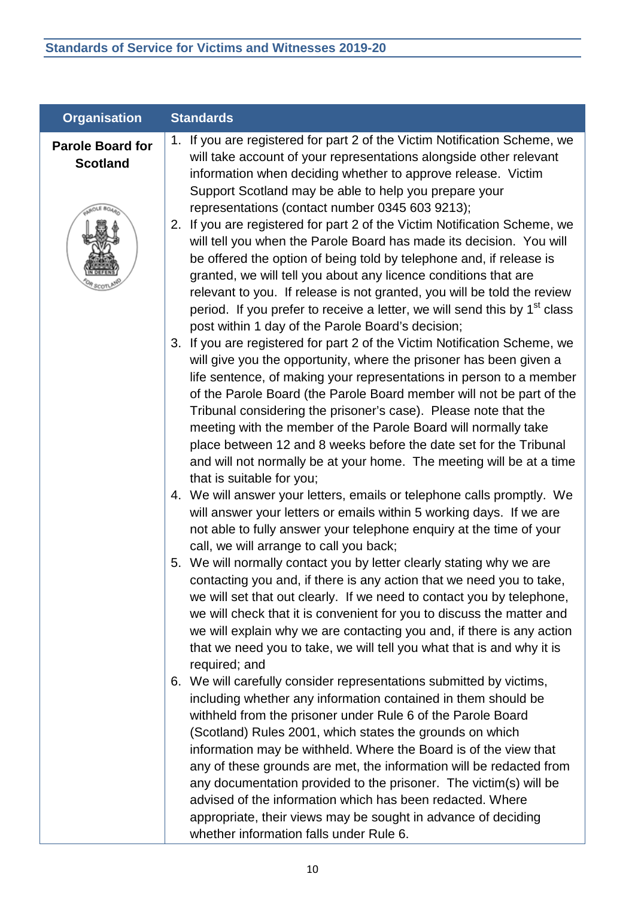| <b>Organisation</b>                        | <b>Standards</b>                                                                                                                                                                                                                                                                                                                                                                                                                                                                                                                                                                                                                                         |
|--------------------------------------------|----------------------------------------------------------------------------------------------------------------------------------------------------------------------------------------------------------------------------------------------------------------------------------------------------------------------------------------------------------------------------------------------------------------------------------------------------------------------------------------------------------------------------------------------------------------------------------------------------------------------------------------------------------|
| <b>Parole Board for</b><br><b>Scotland</b> | 1. If you are registered for part 2 of the Victim Notification Scheme, we<br>will take account of your representations alongside other relevant<br>information when deciding whether to approve release. Victim<br>Support Scotland may be able to help you prepare your                                                                                                                                                                                                                                                                                                                                                                                 |
|                                            | representations (contact number 0345 603 9213);<br>2. If you are registered for part 2 of the Victim Notification Scheme, we<br>will tell you when the Parole Board has made its decision. You will<br>be offered the option of being told by telephone and, if release is<br>granted, we will tell you about any licence conditions that are<br>relevant to you. If release is not granted, you will be told the review<br>period. If you prefer to receive a letter, we will send this by 1 <sup>st</sup> class<br>post within 1 day of the Parole Board's decision;                                                                                   |
|                                            | 3. If you are registered for part 2 of the Victim Notification Scheme, we<br>will give you the opportunity, where the prisoner has been given a<br>life sentence, of making your representations in person to a member<br>of the Parole Board (the Parole Board member will not be part of the<br>Tribunal considering the prisoner's case). Please note that the<br>meeting with the member of the Parole Board will normally take<br>place between 12 and 8 weeks before the date set for the Tribunal<br>and will not normally be at your home. The meeting will be at a time<br>that is suitable for you;                                            |
|                                            | 4. We will answer your letters, emails or telephone calls promptly. We<br>will answer your letters or emails within 5 working days. If we are<br>not able to fully answer your telephone enquiry at the time of your<br>call, we will arrange to call you back;                                                                                                                                                                                                                                                                                                                                                                                          |
|                                            | 5. We will normally contact you by letter clearly stating why we are<br>contacting you and, if there is any action that we need you to take,<br>we will set that out clearly. If we need to contact you by telephone,<br>we will check that it is convenient for you to discuss the matter and<br>we will explain why we are contacting you and, if there is any action<br>that we need you to take, we will tell you what that is and why it is<br>required; and                                                                                                                                                                                        |
|                                            | 6. We will carefully consider representations submitted by victims,<br>including whether any information contained in them should be<br>withheld from the prisoner under Rule 6 of the Parole Board<br>(Scotland) Rules 2001, which states the grounds on which<br>information may be withheld. Where the Board is of the view that<br>any of these grounds are met, the information will be redacted from<br>any documentation provided to the prisoner. The victim(s) will be<br>advised of the information which has been redacted. Where<br>appropriate, their views may be sought in advance of deciding<br>whether information falls under Rule 6. |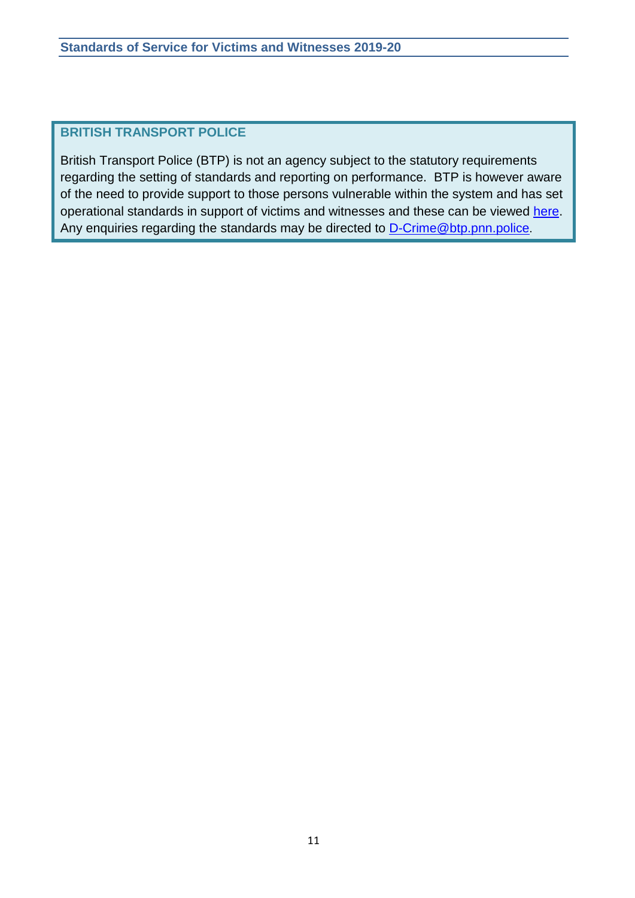# **BRITISH TRANSPORT POLICE**

British Transport Police (BTP) is not an agency subject to the statutory requirements regarding the setting of standards and reporting on performance. BTP is however aware of the need to provide support to those persons vulnerable within the system and has set operational standards in support of victims and witnesses and these can be viewed [here.](http://www.btp.police.uk/advice_and_information/if_youre_a_victim_of_crime/police_victim_right_to_review/victims_and_witnesses.aspx) Any enquiries regarding the standards may be directed to [D-Crime@btp.pnn.police](mailto:D-Crime@btp.pnn.police).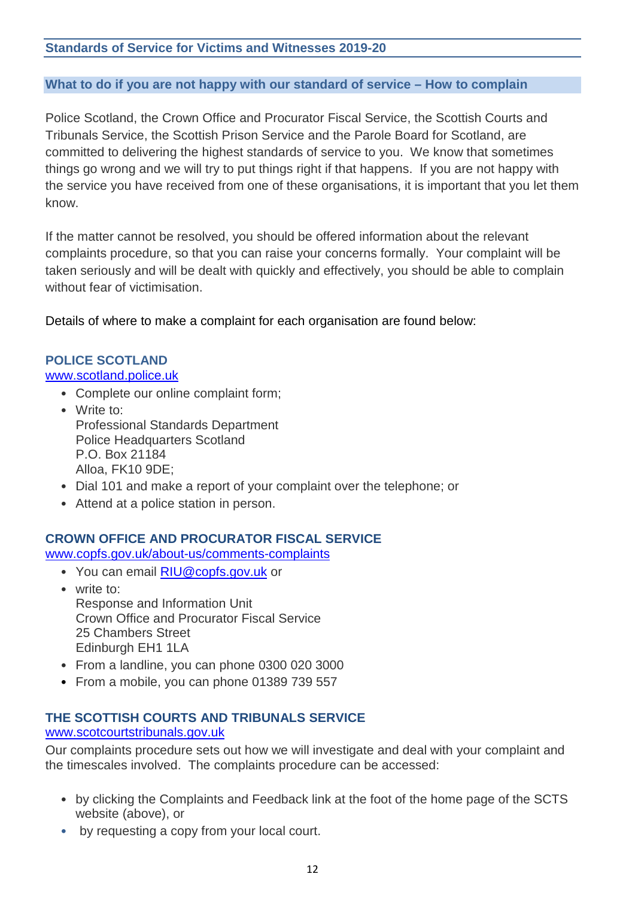### **What to do if you are not happy with our standard of service – How to complain**

Police Scotland, the Crown Office and Procurator Fiscal Service, the Scottish Courts and Tribunals Service, the Scottish Prison Service and the Parole Board for Scotland, are committed to delivering the highest standards of service to you. We know that sometimes things go wrong and we will try to put things right if that happens. If you are not happy with the service you have received from one of these organisations, it is important that you let them know.

If the matter cannot be resolved, you should be offered information about the relevant complaints procedure, so that you can raise your concerns formally. Your complaint will be taken seriously and will be dealt with quickly and effectively, you should be able to complain without fear of victimisation.

Details of where to make a complaint for each organisation are found below:

# **POLICE SCOTLAND**

## [www.scotland.police.uk](http://www.scotland.police.uk/)

- Complete our online complaint form;
- Write to: Professional Standards Department Police Headquarters Scotland P.O. Box 21184 Alloa, FK10 9DE;
- Dial 101 and make a report of your complaint over the telephone; or
- Attend at a police station in person.

#### **CROWN OFFICE AND PROCURATOR FISCAL SERVICE**

[www.copfs.gov.uk/about-us/comments-complaints](http://www.copfs.gov.uk/about-us/comments-complaints)

- You can email [RIU@copfs.gov.uk](mailto:RIU@copfs.gov.uk) or
- write to: Response and Information Unit Crown Office and Procurator Fiscal Service 25 Chambers Street Edinburgh EH1 1LA
- From a landline, you can phone 0300 020 3000
- From a mobile, you can phone 01389 739 557

# **THE SCOTTISH COURTS AND TRIBUNALS SERVICE**

# [www.scotcourtstribunals.gov.uk](http://www.scotcourtstribunals.gov.uk/)

Our complaints procedure sets out how we will investigate and deal with your complaint and the timescales involved. The complaints procedure can be accessed:

- by clicking the Complaints and Feedback link at the foot of the home page of the SCTS website (above), or
- by requesting a copy from your local court.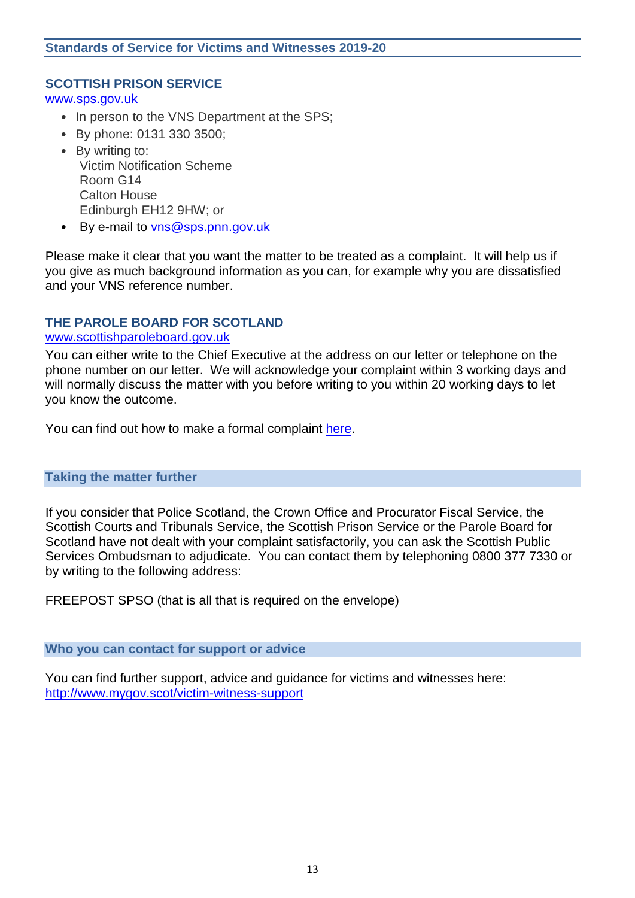#### **SCOTTISH PRISON SERVICE**

[www.sps.gov.uk](http://www.sps.gov.uk/)

- In person to the VNS Department at the SPS;
- By phone: 0131 330 3500;
- By writing to: Victim Notification Scheme Room G14 Calton House Edinburgh EH12 9HW; or
- By e-mail to [vns@sps.pnn.gov.uk](mailto:vns@sps.pnn.gov.uk)

Please make it clear that you want the matter to be treated as a complaint. It will help us if you give as much background information as you can, for example why you are dissatisfied and your VNS reference number.

#### **THE PAROLE BOARD FOR SCOTLAND** [www.scottishparoleboard.gov.uk](http://www.scottishparoleboard.gov.uk/)

You can either write to the Chief Executive at the address on our letter or telephone on the phone number on our letter. We will acknowledge your complaint within 3 working days and will normally discuss the matter with you before writing to you within 20 working days to let you know the outcome.

You can find out how to make a formal complaint [here.](http://www.scottishparoleboard.gov.uk/page/complaints_procedure)

#### **Taking the matter further**

If you consider that Police Scotland, the Crown Office and Procurator Fiscal Service, the Scottish Courts and Tribunals Service, the Scottish Prison Service or the Parole Board for Scotland have not dealt with your complaint satisfactorily, you can ask the Scottish Public Services Ombudsman to adjudicate. You can contact them by telephoning 0800 377 7330 or by writing to the following address:

FREEPOST SPSO (that is all that is required on the envelope)

#### **Who you can contact for support or advice**

You can find further support, advice and guidance for victims and witnesses here: <http://www.mygov.scot/victim-witness-support>